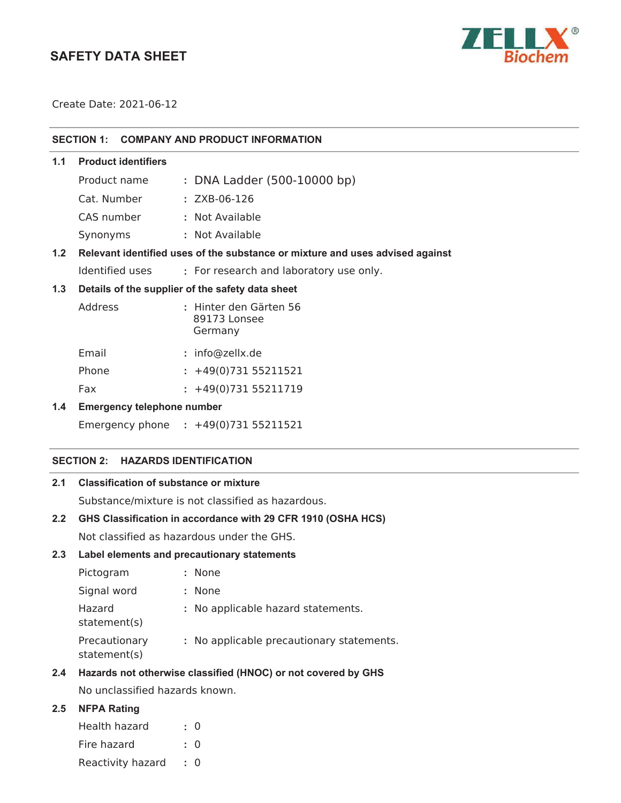## **SAFETY DATA SHEET**



Create Date: 2021-06-12

| SECTION 1: COMPANY AND PRODUCT INFORMATION |  |
|--------------------------------------------|--|
|                                            |  |

| <b>Product identifiers</b><br>1.1 |
|-----------------------------------|
|-----------------------------------|

Cat. Number : ZXB-06-126

CAS number **:** Not Available

Synonyms **:** Not Available

## **1.2 Relevant identified uses of the substance or mixture and uses advised against**

Identified uses **:** For research and laboratory use only.

#### **1.3 Details of the supplier of the safety data sheet**

| Address | : Hinter den Gärten 56<br>89173 Lonsee<br>Germany |
|---------|---------------------------------------------------|
| Email   | $:$ info@zellx.de                                 |

| Phone | $: +49(0)73155211521$ |  |
|-------|-----------------------|--|
|       |                       |  |

# Fax : +49(0)731 55211719

## **1.4 Emergency telephone number**

Emergency phone **:** 

#### **SECTION 2: HAZARDS IDENTIFICATION**

## **2.1 Classification of substance or mixture**

Substance/mixture is not classified as hazardous.

## **2.2 GHS Classification in accordance with 29 CFR 1910 (OSHA HCS)**

Not classified as hazardous under the GHS.

#### **2.3 Label elements and precautionary statements**

| Pictogram                     | : None                                    |
|-------------------------------|-------------------------------------------|
| Signal word                   | : None                                    |
| Hazard<br>statement(s)        | : No applicable hazard statements.        |
| Precautionary<br>statement(s) | : No applicable precautionary statements. |

#### **2.4 Hazards not otherwise classified (HNOC) or not covered by GHS**

No unclassified hazards known.

## **2.5 NFPA Rating**

| Health hazard     | : 0       |
|-------------------|-----------|
| Fire hazard       | $\cdot$ 0 |
| Reactivity hazard | $\cdot$ 0 |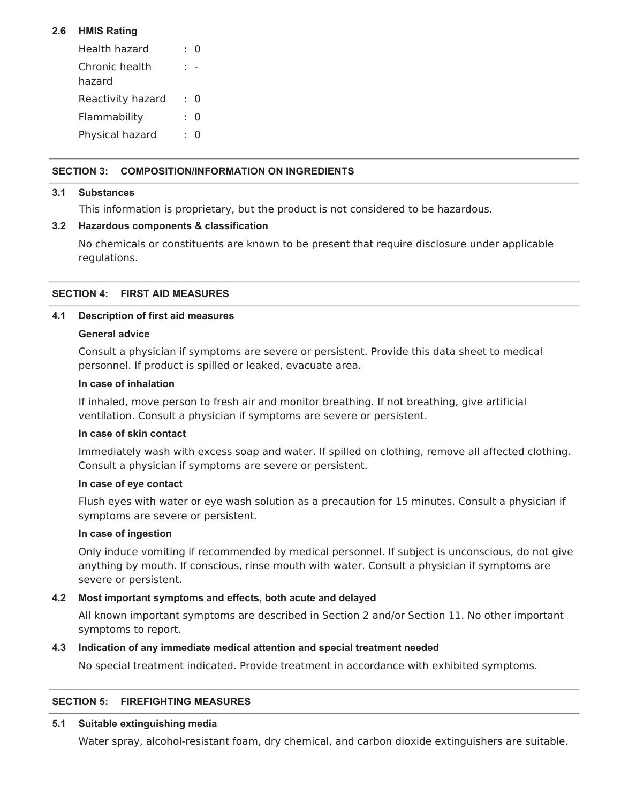## **2.6 HMIS Rating**

| Health hazard            | Ω |
|--------------------------|---|
| Chronic health<br>hazard |   |
| Reactivity hazard        | 0 |
| Flammability             | O |
| Physical hazard          | 0 |

## **SECTION 3: COMPOSITION/INFORMATION ON INGREDIENTS**

#### **3.1 Substances**

This information is proprietary, but the product is not considered to be hazardous.

#### **3.2 Hazardous components & classification**

No chemicals or constituents are known to be present that require disclosure under applicable regulations.

#### **SECTION 4: FIRST AID MEASURES**

#### **4.1 Description of first aid measures**

#### **General advice**

Consult a physician if symptoms are severe or persistent. Provide this data sheet to medical personnel. If product is spilled or leaked, evacuate area.

#### **In case of inhalation**

If inhaled, move person to fresh air and monitor breathing. If not breathing, give artificial ventilation. Consult a physician if symptoms are severe or persistent.

#### **In case of skin contact**

Immediately wash with excess soap and water. If spilled on clothing, remove all affected clothing. Consult a physician if symptoms are severe or persistent.

#### **In case of eye contact**

Flush eyes with water or eye wash solution as a precaution for 15 minutes. Consult a physician if symptoms are severe or persistent.

#### **In case of ingestion**

Only induce vomiting if recommended by medical personnel. If subject is unconscious, do not give anything by mouth. If conscious, rinse mouth with water. Consult a physician if symptoms are severe or persistent.

#### **4.2 Most important symptoms and effects, both acute and delayed**

All known important symptoms are described in Section 2 and/or Section 11. No other important symptoms to report.

#### **4.3 Indication of any immediate medical attention and special treatment needed**

No special treatment indicated. Provide treatment in accordance with exhibited symptoms.

#### **SECTION 5: FIREFIGHTING MEASURES**

#### **5.1 Suitable extinguishing media**

Water spray, alcohol-resistant foam, dry chemical, and carbon dioxide extinguishers are suitable.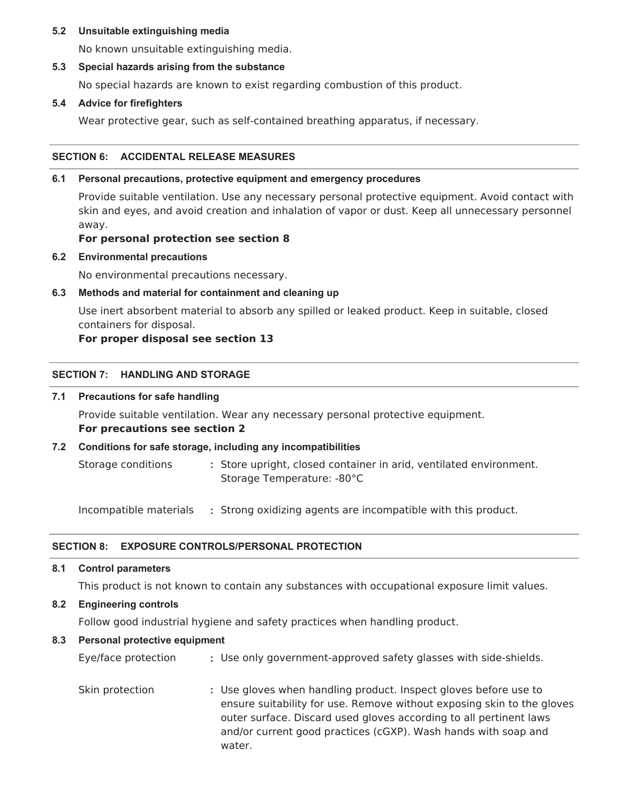#### **5.2 Unsuitable extinguishing media**

No known unsuitable extinguishing media.

#### **5.3 Special hazards arising from the substance**

No special hazards are known to exist regarding combustion of this product.

#### **5.4 Advice for firefighters**

Wear protective gear, such as self-contained breathing apparatus, if necessary.

#### **SECTION 6: ACCIDENTAL RELEASE MEASURES**

#### **6.1 Personal precautions, protective equipment and emergency procedures**

Provide suitable ventilation. Use any necessary personal protective equipment. Avoid contact with skin and eyes, and avoid creation and inhalation of vapor or dust. Keep all unnecessary personnel away.

## **For personal protection see section 8**

**6.2 Environmental precautions**

No environmental precautions necessary.

## **6.3 Methods and material for containment and cleaning up**

Use inert absorbent material to absorb any spilled or leaked product. Keep in suitable, closed containers for disposal.

## **For proper disposal see section 13**

#### **SECTION 7: HANDLING AND STORAGE**

#### **7.1 Precautions for safe handling**

Provide suitable ventilation. Wear any necessary personal protective equipment. **For precautions see section 2**

#### **7.2 Conditions for safe storage, including any incompatibilities**

Storage conditions **:** Store upright, closed container in arid, ventilated environment. Storage Temperature: -80°C

Incompatible materials **:** Strong oxidizing agents are incompatible with this product.

## **SECTION 8: EXPOSURE CONTROLS/PERSONAL PROTECTION**

**8.1 Control parameters**

This product is not known to contain any substances with occupational exposure limit values.

## **8.2 Engineering controls**

Follow good industrial hygiene and safety practices when handling product.

#### **8.3 Personal protective equipment**

Eye/face protection **:** Use only government-approved safety glasses with side-shields.

Skin protection **:** Use gloves when handling product. Inspect gloves before use to ensure suitability for use. Remove without exposing skin to the gloves outer surface. Discard used gloves according to all pertinent laws and/or current good practices (cGXP). Wash hands with soap and water.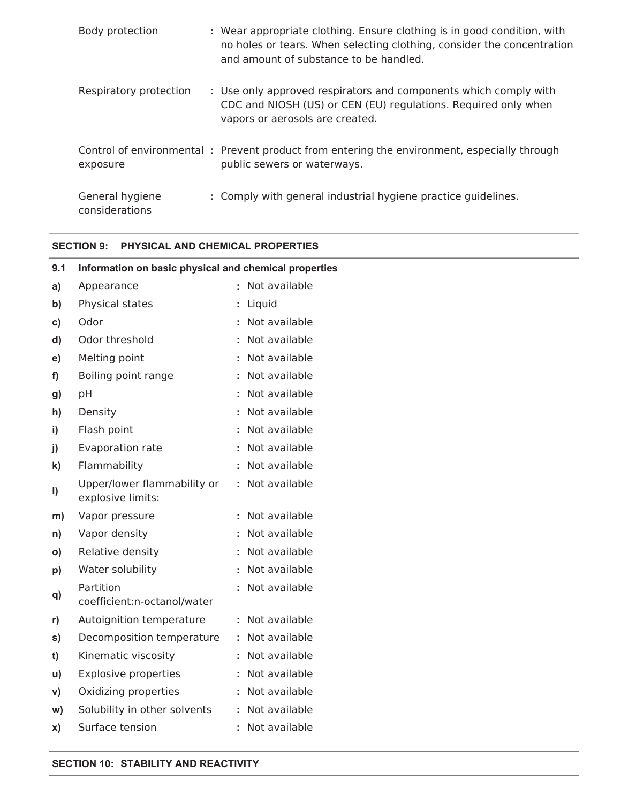| Body protection                   | : Wear appropriate clothing. Ensure clothing is in good condition, with<br>no holes or tears. When selecting clothing, consider the concentration<br>and amount of substance to be handled. |
|-----------------------------------|---------------------------------------------------------------------------------------------------------------------------------------------------------------------------------------------|
| Respiratory protection            | : Use only approved respirators and components which comply with<br>CDC and NIOSH (US) or CEN (EU) regulations. Required only when<br>vapors or aerosols are created.                       |
| exposure                          | Control of environmental : Prevent product from entering the environment, especially through<br>public sewers or waterways.                                                                 |
| General hygiene<br>considerations | : Comply with general industrial hygiene practice guidelines.                                                                                                                               |

## **SECTION 9: PHYSICAL AND CHEMICAL PROPERTIES**

| 9.1          | Information on basic physical and chemical properties |                 |  |
|--------------|-------------------------------------------------------|-----------------|--|
| a)           | Appearance                                            | : Not available |  |
| b)           | Physical states                                       | : Liquid        |  |
| C)           | Odor                                                  | : Not available |  |
| d)           | Odor threshold                                        | : Not available |  |
| e)           | Melting point                                         | : Not available |  |
| f)           | Boiling point range                                   | : Not available |  |
| g)           | pH                                                    | : Not available |  |
| h)           | Density                                               | : Not available |  |
| i)           | Flash point                                           | : Not available |  |
| j)           | Evaporation rate                                      | : Not available |  |
| $\mathbf{k}$ | Flammability                                          | : Not available |  |
| I)           | Upper/lower flammability or<br>explosive limits:      | : Not available |  |
| m)           | Vapor pressure                                        | : Not available |  |
| n)           | Vapor density                                         | : Not available |  |
| $\mathsf{o}$ | Relative density                                      | : Not available |  |
| p)           | Water solubility                                      | : Not available |  |
| q)           | Partition<br>coefficient:n-octanol/water              | : Not available |  |
| r)           | Autoignition temperature                              | : Not available |  |
| s)           | Decomposition temperature                             | : Not available |  |
| t)           | Kinematic viscosity                                   | : Not available |  |
| u)           | <b>Explosive properties</b>                           | : Not available |  |
| V)           | Oxidizing properties                                  | : Not available |  |
| W)           | Solubility in other solvents                          | : Not available |  |
| X)           | Surface tension                                       | : Not available |  |

#### **SECTION 10: STABILITY AND REACTIVITY**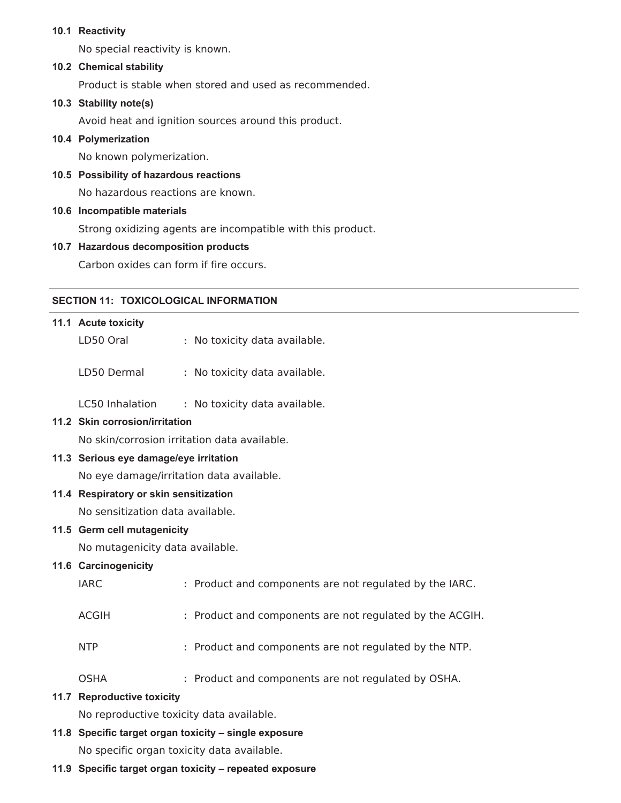#### **10.1 Reactivity**

No special reactivity is known.

#### **10.2 Chemical stability**

Product is stable when stored and used as recommended.

#### **10.3 Stability note(s)**

Avoid heat and ignition sources around this product.

#### **10.4 Polymerization**

No known polymerization.

#### **10.5 Possibility of hazardous reactions**

No hazardous reactions are known.

#### **10.6 Incompatible materials**

Strong oxidizing agents are incompatible with this product.

#### **10.7 Hazardous decomposition products**

Carbon oxides can form if fire occurs.

#### **SECTION 11: TOXICOLOGICAL INFORMATION**

# **11.1 Acute toxicity** LD50 Oral **:** No toxicity data available. LD50 Dermal **:** No toxicity data available. LC50 Inhalation **:** No toxicity data available. **11.2 Skin corrosion/irritation** No skin/corrosion irritation data available. **11.3 Serious eye damage/eye irritation** No eye damage/irritation data available. **11.4 Respiratory or skin sensitization** No sensitization data available. **11.5 Germ cell mutagenicity** No mutagenicity data available. **11.6 Carcinogenicity** IARC **:** Product and components are not regulated by the IARC. ACGIH **:** Product and components are not regulated by the ACGIH. NTP **:** Product and components are not regulated by the NTP. OSHA **:** Product and components are not regulated by OSHA. **11.7 Reproductive toxicity** No reproductive toxicity data available.

## **11.8 Specific target organ toxicity – single exposure** No specific organ toxicity data available.

#### **11.9 Specific target organ toxicity – repeated exposure**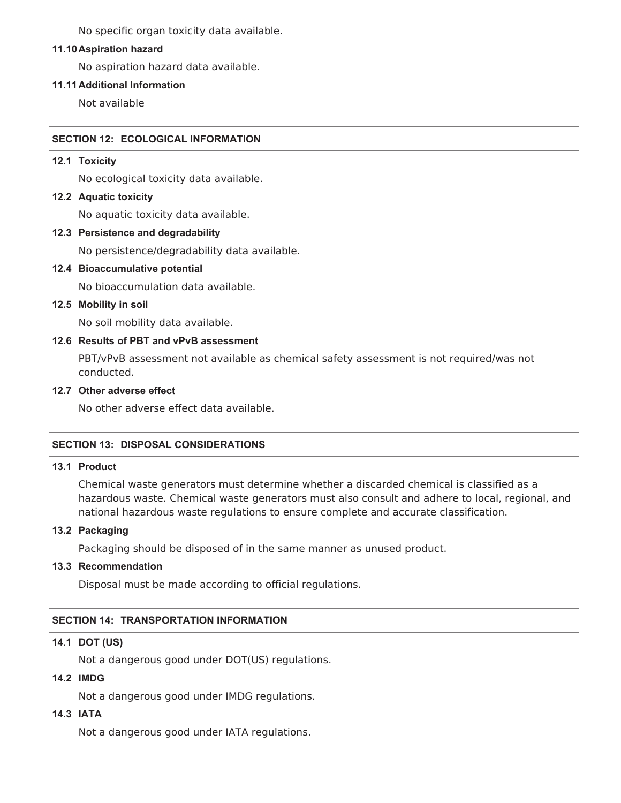No specific organ toxicity data available.

#### **11.10Aspiration hazard**

No aspiration hazard data available.

#### **11.11Additional Information**

Not available

#### **SECTION 12: ECOLOGICAL INFORMATION**

#### **12.1 Toxicity**

No ecological toxicity data available.

#### **12.2 Aquatic toxicity**

No aquatic toxicity data available.

#### **12.3 Persistence and degradability**

No persistence/degradability data available.

## **12.4 Bioaccumulative potential**

No bioaccumulation data available.

#### **12.5 Mobility in soil**

No soil mobility data available.

## **12.6 Results of PBT and vPvB assessment**

PBT/vPvB assessment not available as chemical safety assessment is not required/was not conducted.

## **12.7 Other adverse effect**

No other adverse effect data available.

#### **SECTION 13: DISPOSAL CONSIDERATIONS**

#### **13.1 Product**

Chemical waste generators must determine whether a discarded chemical is classified as a hazardous waste. Chemical waste generators must also consult and adhere to local, regional, and national hazardous waste regulations to ensure complete and accurate classification.

#### **13.2 Packaging**

Packaging should be disposed of in the same manner as unused product.

#### **13.3 Recommendation**

Disposal must be made according to official regulations.

#### **SECTION 14: TRANSPORTATION INFORMATION**

#### **14.1 DOT (US)**

Not a dangerous good under DOT(US) regulations.

#### **14.2 IMDG**

Not a dangerous good under IMDG regulations.

## **14.3 IATA**

Not a dangerous good under IATA regulations.